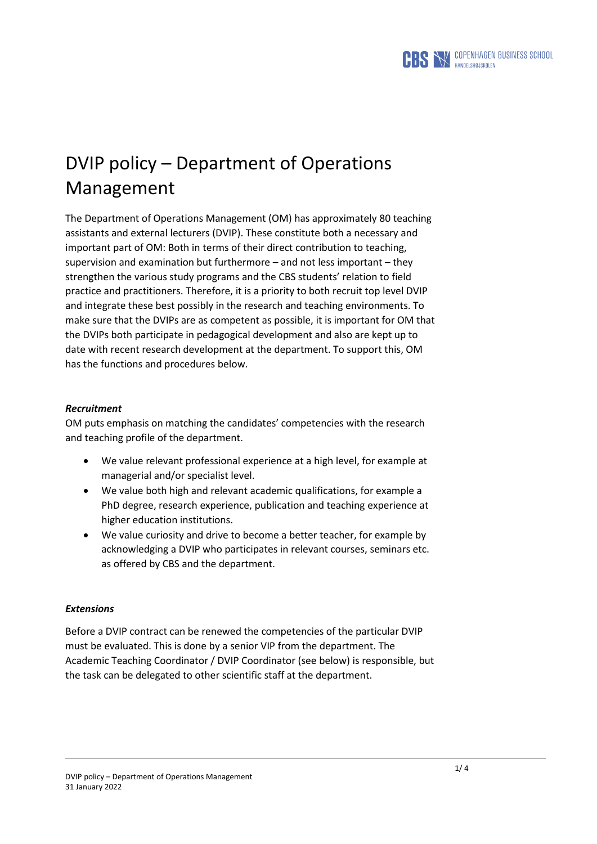

# DVIP policy – Department of Operations Management

The Department of Operations Management (OM) has approximately 80 teaching assistants and external lecturers (DVIP). These constitute both a necessary and important part of OM: Both in terms of their direct contribution to teaching, supervision and examination but furthermore – and not less important – they strengthen the various study programs and the CBS students' relation to field practice and practitioners. Therefore, it is a priority to both recruit top level DVIP and integrate these best possibly in the research and teaching environments. To make sure that the DVIPs are as competent as possible, it is important for OM that the DVIPs both participate in pedagogical development and also are kept up to date with recent research development at the department. To support this, OM has the functions and procedures below*.*

# *Recruitment*

OM puts emphasis on matching the candidates' competencies with the research and teaching profile of the department.

- We value relevant professional experience at a high level, for example at managerial and/or specialist level.
- We value both high and relevant academic qualifications, for example a PhD degree, research experience, publication and teaching experience at higher education institutions.
- We value curiosity and drive to become a better teacher, for example by acknowledging a DVIP who participates in relevant courses, seminars etc. as offered by CBS and the department.

# *Extensions*

Before a DVIP contract can be renewed the competencies of the particular DVIP must be evaluated. This is done by a senior VIP from the department. The Academic Teaching Coordinator / DVIP Coordinator (see below) is responsible, but the task can be delegated to other scientific staff at the department.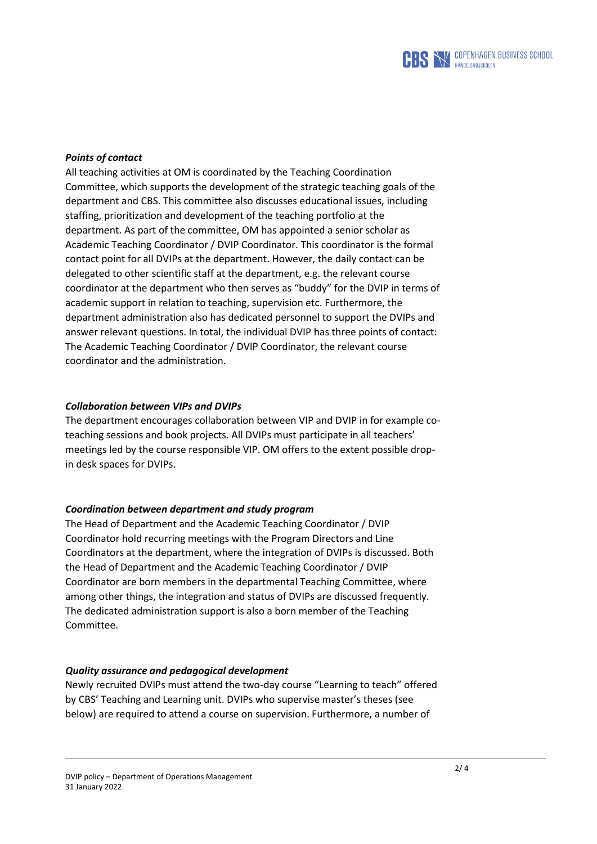

## *Points of contact*

All teaching activities at OM is coordinated by the Teaching Coordination Committee, which supports the development of the strategic teaching goals of the department and CBS. This committee also discusses educational issues, including staffing, prioritization and development of the teaching portfolio at the department. As part of the committee, OM has appointed a senior scholar as Academic Teaching Coordinator / DVIP Coordinator. This coordinator is the formal contact point for all DVIPs at the department. However, the daily contact can be delegated to other scientific staff at the department, e.g. the relevant course coordinator at the department who then serves as "buddy" for the DVIP in terms of academic support in relation to teaching, supervision etc. Furthermore, the department administration also has dedicated personnel to support the DVIPs and answer relevant questions. In total, the individual DVIP has three points of contact: The Academic Teaching Coordinator / DVIP Coordinator, the relevant course coordinator and the administration.

#### *Collaboration between VIPs and DVIPs*

The department encourages collaboration between VIP and DVIP in for example coteaching sessions and book projects. All DVIPs must participate in all teachers' meetings led by the course responsible VIP. OM offers to the extent possible dropin desk spaces for DVIPs.

#### *Coordination between department and study program*

The Head of Department and the Academic Teaching Coordinator / DVIP Coordinator hold recurring meetings with the Program Directors and Line Coordinators at the department, where the integration of DVIPs is discussed. Both the Head of Department and the Academic Teaching Coordinator / DVIP Coordinator are born members in the departmental Teaching Committee, where among other things, the integration and status of DVIPs are discussed frequently. The dedicated administration support is also a born member of the Teaching Committee.

#### *Quality assurance and pedagogical development*

Newly recruited DVIPs must attend the two-day course "Learning to teach" offered by CBS' Teaching and Learning unit. DVIPs who supervise master's theses (see below) are required to attend a course on supervision. Furthermore, a number of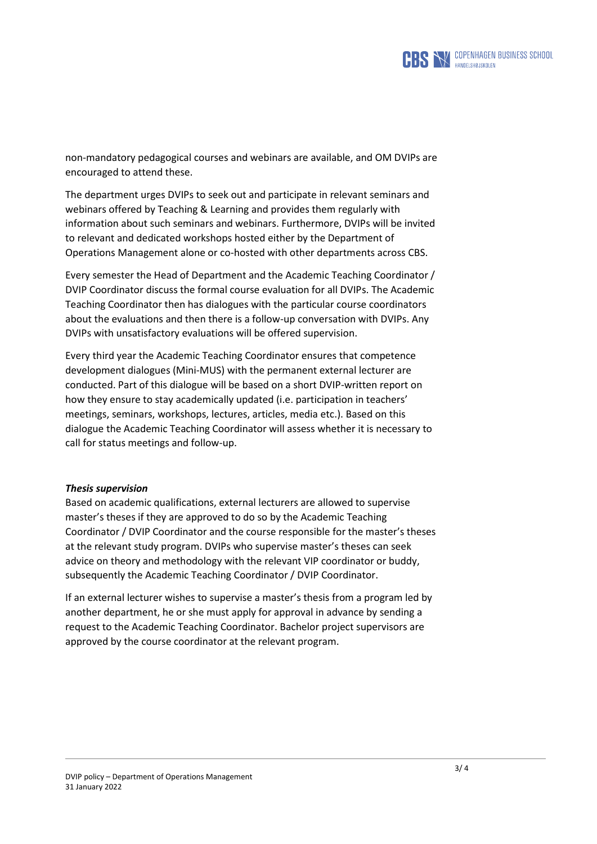

non-mandatory pedagogical courses and webinars are available, and OM DVIPs are encouraged to attend these.

The department urges DVIPs to seek out and participate in relevant seminars and webinars offered by Teaching & Learning and provides them regularly with information about such seminars and webinars. Furthermore, DVIPs will be invited to relevant and dedicated workshops hosted either by the Department of Operations Management alone or co-hosted with other departments across CBS.

Every semester the Head of Department and the Academic Teaching Coordinator / DVIP Coordinator discuss the formal course evaluation for all DVIPs. The Academic Teaching Coordinator then has dialogues with the particular course coordinators about the evaluations and then there is a follow-up conversation with DVIPs. Any DVIPs with unsatisfactory evaluations will be offered supervision.

Every third year the Academic Teaching Coordinator ensures that competence development dialogues (Mini-MUS) with the permanent external lecturer are conducted. Part of this dialogue will be based on a short DVIP-written report on how they ensure to stay academically updated (i.e. participation in teachers' meetings, seminars, workshops, lectures, articles, media etc.). Based on this dialogue the Academic Teaching Coordinator will assess whether it is necessary to call for status meetings and follow-up.

#### *Thesis supervision*

Based on academic qualifications, external lecturers are allowed to supervise master's theses if they are approved to do so by the Academic Teaching Coordinator / DVIP Coordinator and the course responsible for the master's theses at the relevant study program. DVIPs who supervise master's theses can seek advice on theory and methodology with the relevant VIP coordinator or buddy, subsequently the Academic Teaching Coordinator / DVIP Coordinator.

If an external lecturer wishes to supervise a master's thesis from a program led by another department, he or she must apply for approval in advance by sending a request to the Academic Teaching Coordinator. Bachelor project supervisors are approved by the course coordinator at the relevant program.